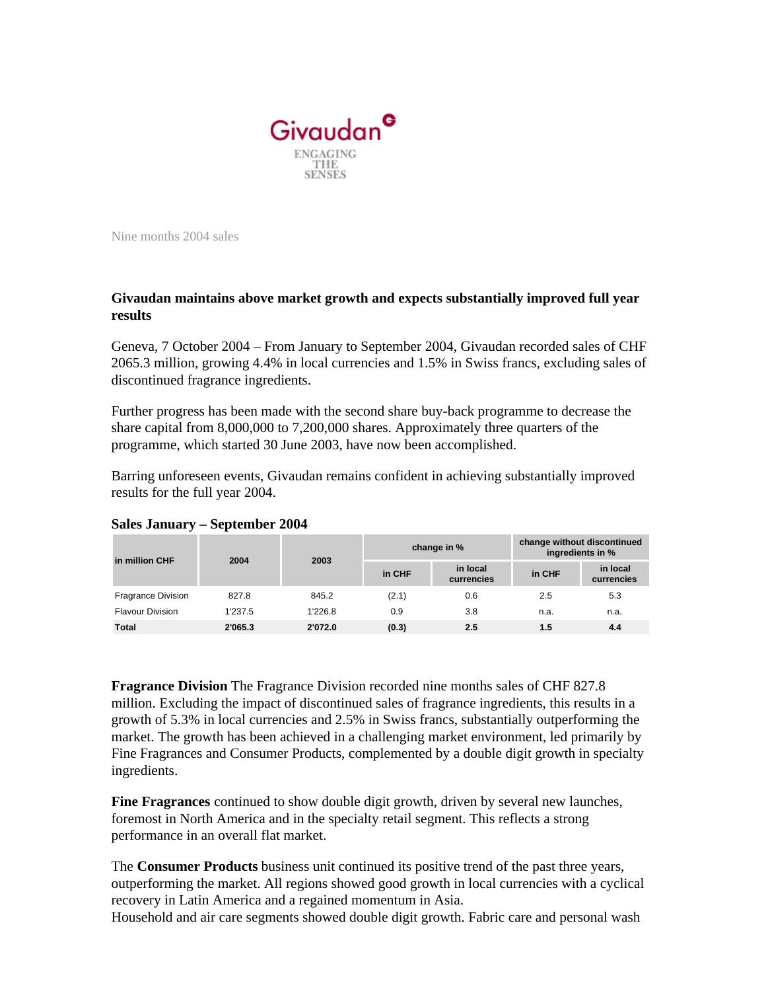

Nine months 2004 sales

## **Givaudan maintains above market growth and expects substantially improved full year results**

Geneva, 7 October 2004 – From January to September 2004, Givaudan recorded sales of CHF 2065.3 million, growing 4.4% in local currencies and 1.5% in Swiss francs, excluding sales of discontinued fragrance ingredients.

Further progress has been made with the second share buy-back programme to decrease the share capital from 8,000,000 to 7,200,000 shares. Approximately three quarters of the programme, which started 30 June 2003, have now been accomplished.

Barring unforeseen events, Givaudan remains confident in achieving substantially improved results for the full year 2004.

| in million CHF            | 2004    | 2003    | change in % |                        | change without discontinued<br>ingredients in % |                        |
|---------------------------|---------|---------|-------------|------------------------|-------------------------------------------------|------------------------|
|                           |         |         | in CHF      | in local<br>currencies | in CHF                                          | in local<br>currencies |
| <b>Fragrance Division</b> | 827.8   | 845.2   | (2.1)       | 0.6                    | 2.5                                             | 5.3                    |
| <b>Flavour Division</b>   | 1'237.5 | 1'226.8 | 0.9         | 3.8                    | n.a.                                            | n.a.                   |
| <b>Total</b>              | 2'065.3 | 2'072.0 | (0.3)       | 2.5                    | 1.5                                             | 4.4                    |

## **Sales January – September 2004**

**Fragrance Division** The Fragrance Division recorded nine months sales of CHF 827.8 million. Excluding the impact of discontinued sales of fragrance ingredients, this results in a growth of 5.3% in local currencies and 2.5% in Swiss francs, substantially outperforming the market. The growth has been achieved in a challenging market environment, led primarily by Fine Fragrances and Consumer Products, complemented by a double digit growth in specialty ingredients.

**Fine Fragrances** continued to show double digit growth, driven by several new launches, foremost in North America and in the specialty retail segment. This reflects a strong performance in an overall flat market.

The **Consumer Products** business unit continued its positive trend of the past three years, outperforming the market. All regions showed good growth in local currencies with a cyclical recovery in Latin America and a regained momentum in Asia.

Household and air care segments showed double digit growth. Fabric care and personal wash